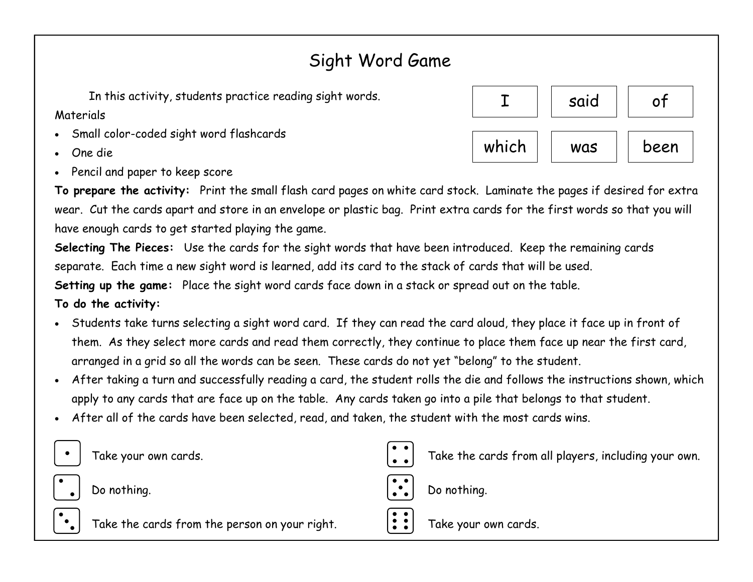## Sight Word Game

In this activity, students practice reading sight words.

**Materials** 

- Small color-coded sight word flashcards
- One die
- Pencil and paper to keep score



**To prepare the activity:** Print the small flash card pages on white card stock. Laminate the pages if desired for extra wear. Cut the cards apart and store in an envelope or plastic bag. Print extra cards for the first words so that you will have enough cards to get started playing the game.

**Selecting The Pieces:** Use the cards for the sight words that have been introduced. Keep the remaining cards separate. Each time a new sight word is learned, add its card to the stack of cards that will be used.

**Setting up the game:** Place the sight word cards face down in a stack or spread out on the table.

**To do the activity:** 

- Students take turns selecting a sight word card. If they can read the card aloud, they place it face up in front of them. As they select more cards and read them correctly, they continue to place them face up near the first card, arranged in a grid so all the words can be seen. These cards do not yet "belong" to the student.
- After taking a turn and successfully reading a card, the student rolls the die and follows the instructions shown, which apply to any cards that are face up on the table. Any cards taken go into a pile that belongs to that student.
- After all of the cards have been selected, read, and taken, the student with the most cards wins.

|  |  |  | Take your own cards. |
|--|--|--|----------------------|
|--|--|--|----------------------|



Do nothing.



Take the cards from the person on your right.





 $\vdots$ 

Take your own cards.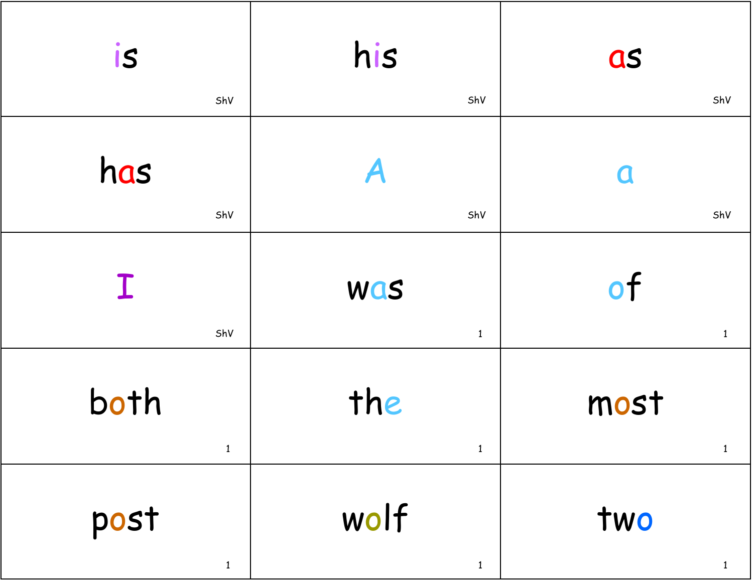| is                   | his                  | as                        |
|----------------------|----------------------|---------------------------|
| ShV                  | ShV                  | ShV                       |
| has                  | A                    | $\boldsymbol{\mathsf{C}}$ |
| ShV                  | ShV                  | ShV                       |
| $\mathbf I$<br>ShV   | Was<br>$\mathbf{1}$  | of<br>$\mathbf{1}$        |
| both<br>$\mathbf{1}$ | the<br>$\mathbf{1}$  | most                      |
| post<br>$\mathbf{1}$ | wolf<br>$\mathbf{1}$ | two<br>$\mathbf{1}$       |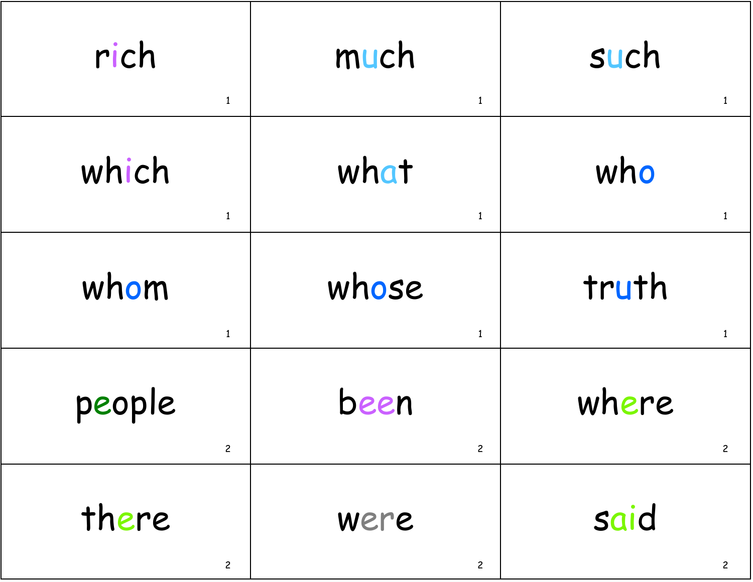| rich           | much           | such           |
|----------------|----------------|----------------|
| $\mathbf{1}$   | $\mathbf{1}$   | $\mathbf{1}$   |
| which          | what           | who            |
| $\mathbf{1}$   | $\mathbf{1}$   | $\mathbf{1}$   |
| whom           | whose          | truth          |
| $\mathbf{1}$   | $\mathbf{1}$   | $\mathbf{1}$   |
| people         | been           | where          |
| $\overline{c}$ | $\overline{c}$ | $\mathbf{2}$   |
| there          | were           | said           |
| $\overline{c}$ | $\overline{c}$ | $\overline{c}$ |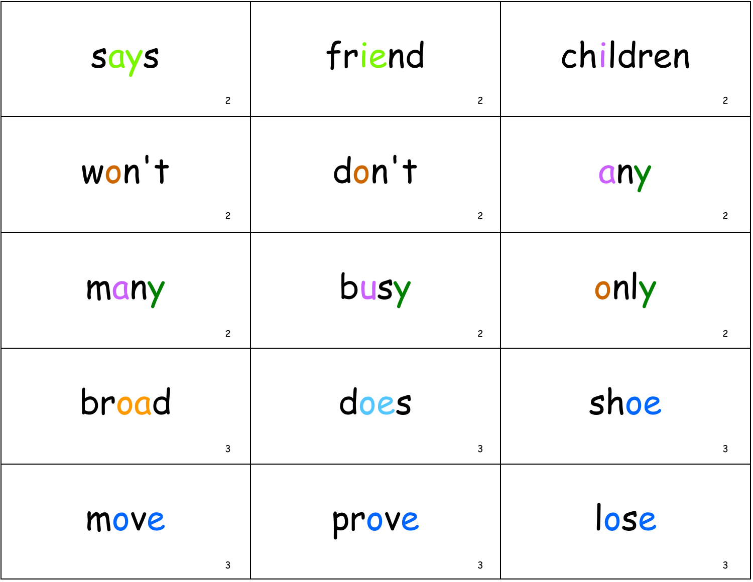| <b>Says</b>    | friend         | children       |
|----------------|----------------|----------------|
| $\mathbf{2}$   | $\overline{c}$ | $\overline{c}$ |
| won't          | don't          | any            |
| $\overline{c}$ | $\overline{c}$ | $\overline{c}$ |
| many           | busy           | only           |
| $\overline{c}$ | $\overline{c}$ | $\overline{c}$ |
| broad          | does           | shoe           |
| $\mathsf{3}$   | $\mathsf{3}$   | 3              |
| move           | prove          | lose           |
| $\mathsf{3}$   | $\mathsf{3}$   | 3              |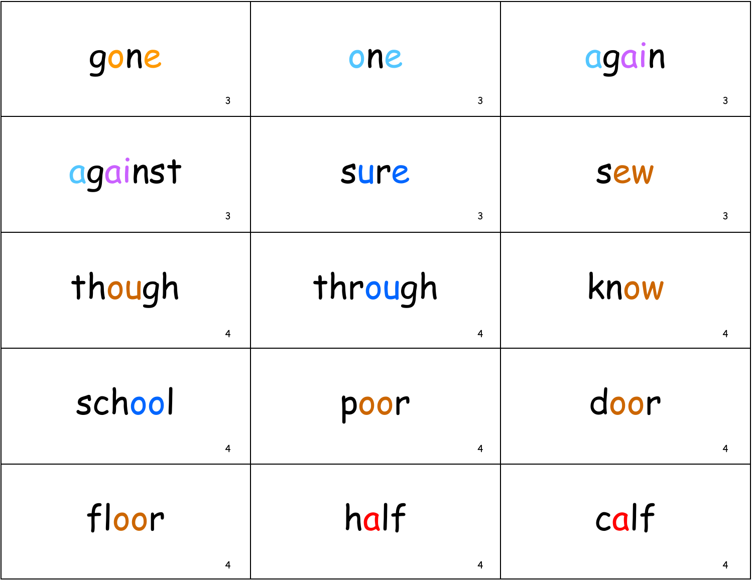| gone                    | one                     | again                   |
|-------------------------|-------------------------|-------------------------|
| $\mathsf{3}$            | $\mathsf{3}$            | $\mathsf{3}$            |
| against                 | sure                    | <b>SEW</b>              |
| $\mathsf{3}$            | $\mathsf{3}$            | $\mathsf{3}$            |
| though                  | through                 | know                    |
| $\overline{\mathbf{r}}$ | $\overline{\mathbf{4}}$ | $\overline{\mathbf{4}}$ |
| school                  | poor                    | door                    |
| 4                       | $\overline{\mathbf{r}}$ | 4                       |
| floor                   | half                    | calf                    |
| $\overline{\mathbf{4}}$ | $\overline{\mathbf{4}}$ | 4                       |